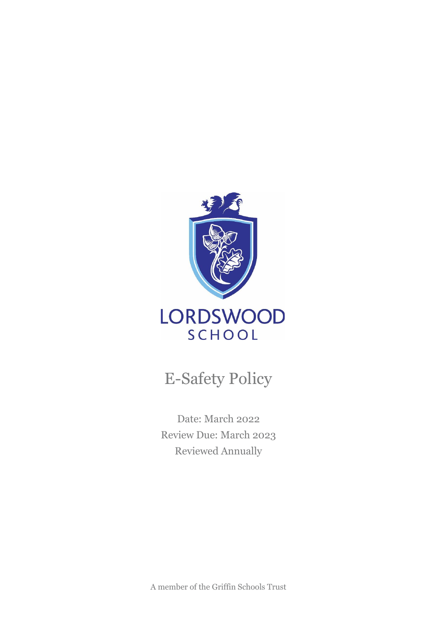

# E-Safety Policy

Date: March 2022 Review Due: March 2023 Reviewed Annually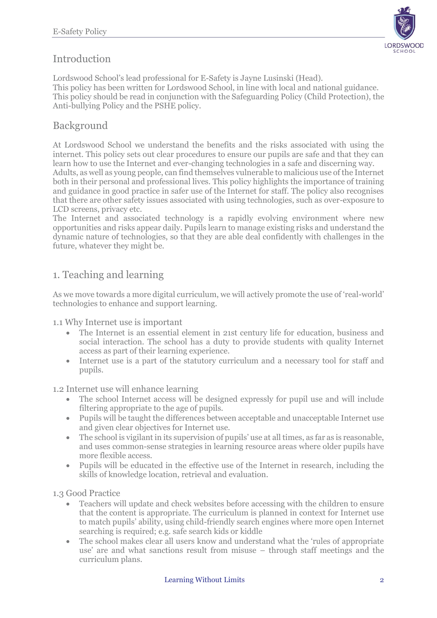# Introduction

Lordswood School's lead professional for E-Safety is Jayne Lusinski (Head). This policy has been written for Lordswood School, in line with local and national guidance. This policy should be read in conjunction with the Safeguarding Policy (Child Protection), the Anti-bullying Policy and the PSHE policy.

## Background

At Lordswood School we understand the benefits and the risks associated with using the internet. This policy sets out clear procedures to ensure our pupils are safe and that they can learn how to use the Internet and ever-changing technologies in a safe and discerning way. Adults, as well as young people, can find themselves vulnerable to malicious use of the Internet both in their personal and professional lives. This policy highlights the importance of training and guidance in good practice in safer use of the Internet for staff. The policy also recognises that there are other safety issues associated with using technologies, such as over-exposure to

LCD screens, privacy etc.

The Internet and associated technology is a rapidly evolving environment where new opportunities and risks appear daily. Pupils learn to manage existing risks and understand the dynamic nature of technologies, so that they are able deal confidently with challenges in the future, whatever they might be.

# 1. Teaching and learning

As we move towards a more digital curriculum, we will actively promote the use of 'real-world' technologies to enhance and support learning.

1.1 Why Internet use is important

- The Internet is an essential element in 21st century life for education, business and social interaction. The school has a duty to provide students with quality Internet access as part of their learning experience.
- Internet use is a part of the statutory curriculum and a necessary tool for staff and pupils.

1.2 Internet use will enhance learning

- The school Internet access will be designed expressly for pupil use and will include filtering appropriate to the age of pupils.
- Pupils will be taught the differences between acceptable and unacceptable Internet use and given clear objectives for Internet use.
- The school is vigilant in its supervision of pupils' use at all times, as far as is reasonable, and uses common-sense strategies in learning resource areas where older pupils have more flexible access.
- Pupils will be educated in the effective use of the Internet in research, including the skills of knowledge location, retrieval and evaluation.

1.3 Good Practice

- Teachers will update and check websites before accessing with the children to ensure that the content is appropriate. The curriculum is planned in context for Internet use to match pupils' ability, using child-friendly search engines where more open Internet searching is required; e.g. safe search kids or kiddle
- The school makes clear all users know and understand what the 'rules of appropriate use' are and what sanctions result from misuse – through staff meetings and the curriculum plans.

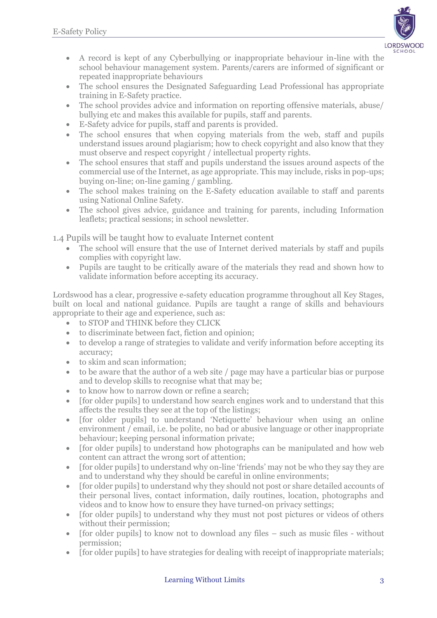

- A record is kept of any Cyberbullying or inappropriate behaviour in-line with the school behaviour management system. Parents/carers are informed of significant or repeated inappropriate behaviours
- The school ensures the Designated Safeguarding Lead Professional has appropriate training in E-Safety practice.
- The school provides advice and information on reporting offensive materials, abuse/ bullying etc and makes this available for pupils, staff and parents.
- E-Safety advice for pupils, staff and parents is provided.
- The school ensures that when copying materials from the web, staff and pupils understand issues around plagiarism; how to check copyright and also know that they must observe and respect copyright / intellectual property rights.
- The school ensures that staff and pupils understand the issues around aspects of the commercial use of the Internet, as age appropriate. This may include, risks in pop-ups; buying on-line; on-line gaming / gambling.
- The school makes training on the E-Safety education available to staff and parents using National Online Safety.
- The school gives advice, guidance and training for parents, including Information leaflets; practical sessions; in school newsletter.

1.4 Pupils will be taught how to evaluate Internet content

- The school will ensure that the use of Internet derived materials by staff and pupils complies with copyright law.
- Pupils are taught to be critically aware of the materials they read and shown how to validate information before accepting its accuracy.

Lordswood has a clear, progressive e-safety education programme throughout all Key Stages, built on local and national guidance. Pupils are taught a range of skills and behaviours appropriate to their age and experience, such as:

- to STOP and THINK before they CLICK
- to discriminate between fact, fiction and opinion;
- to develop a range of strategies to validate and verify information before accepting its accuracy;
- to skim and scan information:
- to be aware that the author of a web site / page may have a particular bias or purpose and to develop skills to recognise what that may be;
- to know how to narrow down or refine a search:
- [for older pupils] to understand how search engines work and to understand that this affects the results they see at the top of the listings;
- [for older pupils] to understand 'Netiquette' behaviour when using an online environment / email, i.e. be polite, no bad or abusive language or other inappropriate behaviour; keeping personal information private;
- [for older pupils] to understand how photographs can be manipulated and how web content can attract the wrong sort of attention;
- [for older pupils] to understand why on-line 'friends' may not be who they say they are and to understand why they should be careful in online environments;
- [for older pupils] to understand why they should not post or share detailed accounts of their personal lives, contact information, daily routines, location, photographs and videos and to know how to ensure they have turned-on privacy settings;
- [for older pupils] to understand why they must not post pictures or videos of others without their permission;
- [for older pupils] to know not to download any files such as music files without permission;
- [for older pupils] to have strategies for dealing with receipt of inappropriate materials;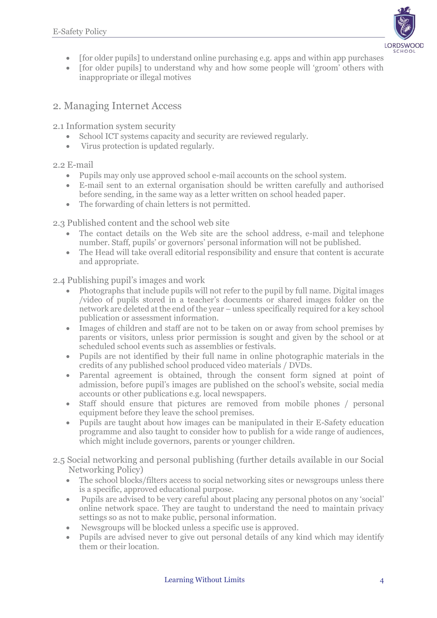

- [for older pupils] to understand online purchasing e.g. apps and within app purchases
- [for older pupils] to understand why and how some people will 'groom' others with inappropriate or illegal motives

## 2. Managing Internet Access

2.1 Information system security

- School ICT systems capacity and security are reviewed regularly.
- Virus protection is updated regularly.

#### 2.2 E-mail

- Pupils may only use approved school e-mail accounts on the school system.
- E-mail sent to an external organisation should be written carefully and authorised before sending, in the same way as a letter written on school headed paper.
- The forwarding of chain letters is not permitted.

2.3 Published content and the school web site

- The contact details on the Web site are the school address, e-mail and telephone number. Staff, pupils' or governors' personal information will not be published.
- The Head will take overall editorial responsibility and ensure that content is accurate and appropriate.

2.4 Publishing pupil's images and work

- Photographs that include pupils will not refer to the pupil by full name. Digital images /video of pupils stored in a teacher's documents or shared images folder on the network are deleted at the end of the year – unless specifically required for a key school publication or assessment information.
- Images of children and staff are not to be taken on or away from school premises by parents or visitors, unless prior permission is sought and given by the school or at scheduled school events such as assemblies or festivals.
- Pupils are not identified by their full name in online photographic materials in the credits of any published school produced video materials / DVDs.
- Parental agreement is obtained, through the consent form signed at point of admission, before pupil's images are published on the school's website, social media accounts or other publications e.g. local newspapers.
- Staff should ensure that pictures are removed from mobile phones / personal equipment before they leave the school premises.
- Pupils are taught about how images can be manipulated in their E-Safety education programme and also taught to consider how to publish for a wide range of audiences, which might include governors, parents or younger children.
- 2.5 Social networking and personal publishing (further details available in our Social Networking Policy)
	- The school blocks/filters access to social networking sites or newsgroups unless there is a specific, approved educational purpose.
	- Pupils are advised to be very careful about placing any personal photos on any 'social' online network space. They are taught to understand the need to maintain privacy settings so as not to make public, personal information.
	- Newsgroups will be blocked unless a specific use is approved.
	- Pupils are advised never to give out personal details of any kind which may identify them or their location.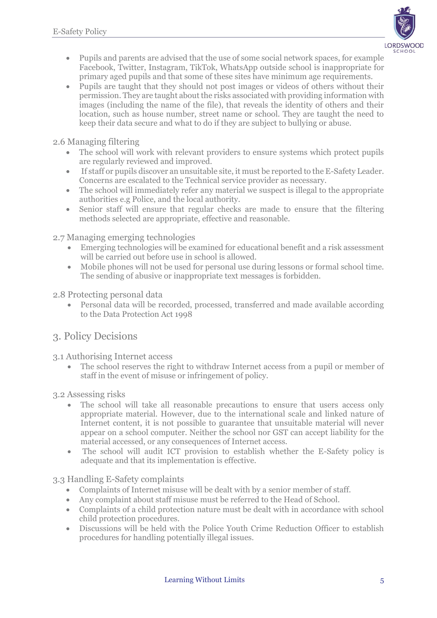

- Pupils and parents are advised that the use of some social network spaces, for example Facebook, Twitter, Instagram, TikTok, WhatsApp outside school is inappropriate for primary aged pupils and that some of these sites have minimum age requirements.
- Pupils are taught that they should not post images or videos of others without their permission. They are taught about the risks associated with providing information with images (including the name of the file), that reveals the identity of others and their location, such as house number, street name or school. They are taught the need to keep their data secure and what to do if they are subject to bullying or abuse.

2.6 Managing filtering

- The school will work with relevant providers to ensure systems which protect pupils are regularly reviewed and improved.
- If staff or pupils discover an unsuitable site, it must be reported to the E-Safety Leader. Concerns are escalated to the Technical service provider as necessary.
- The school will immediately refer any material we suspect is illegal to the appropriate authorities e.g Police, and the local authority.
- Senior staff will ensure that regular checks are made to ensure that the filtering methods selected are appropriate, effective and reasonable.

2.7 Managing emerging technologies

- Emerging technologies will be examined for educational benefit and a risk assessment will be carried out before use in school is allowed.
- Mobile phones will not be used for personal use during lessons or formal school time. The sending of abusive or inappropriate text messages is forbidden.

2.8 Protecting personal data

Personal data will be recorded, processed, transferred and made available according to the Data Protection Act 1998

#### 3. Policy Decisions

3.1 Authorising Internet access

• The school reserves the right to withdraw Internet access from a pupil or member of staff in the event of misuse or infringement of policy.

3.2 Assessing risks

- The school will take all reasonable precautions to ensure that users access only appropriate material. However, due to the international scale and linked nature of Internet content, it is not possible to guarantee that unsuitable material will never appear on a school computer. Neither the school nor GST can accept liability for the material accessed, or any consequences of Internet access.
- The school will audit ICT provision to establish whether the E-Safety policy is adequate and that its implementation is effective.

3.3 Handling E-Safety complaints

- Complaints of Internet misuse will be dealt with by a senior member of staff.
- Any complaint about staff misuse must be referred to the Head of School.
- Complaints of a child protection nature must be dealt with in accordance with school child protection procedures.
- Discussions will be held with the Police Youth Crime Reduction Officer to establish procedures for handling potentially illegal issues.